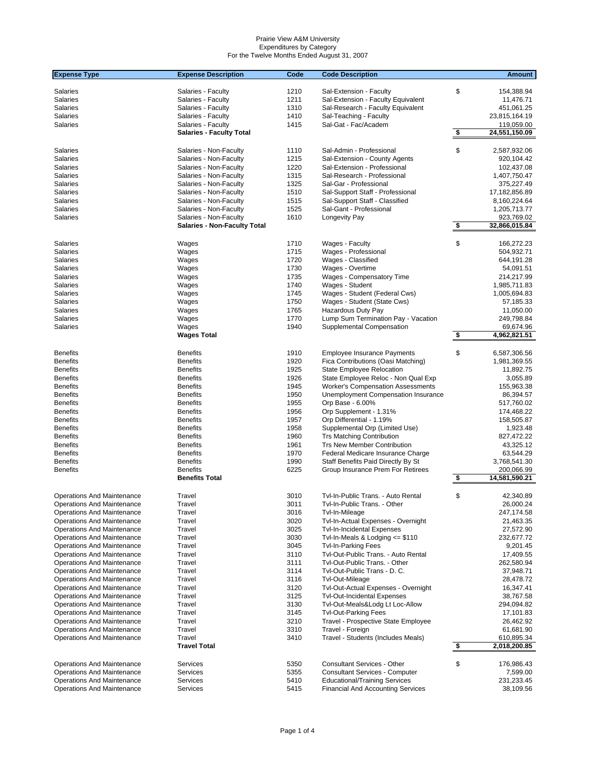| <b>Expense Type</b>               | <b>Expense Description</b>          | Code | <b>Code Description</b>                  |                         | <b>Amount</b>              |
|-----------------------------------|-------------------------------------|------|------------------------------------------|-------------------------|----------------------------|
|                                   |                                     |      |                                          |                         |                            |
| Salaries                          | Salaries - Faculty                  | 1210 | Sal-Extension - Faculty                  | \$                      | 154,388.94                 |
| Salaries                          | Salaries - Faculty                  | 1211 | Sal-Extension - Faculty Equivalent       |                         | 11,476.71                  |
| Salaries                          | Salaries - Faculty                  | 1310 | Sal-Research - Faculty Equivalent        |                         | 451,061.25                 |
| Salaries                          | Salaries - Faculty                  | 1410 | Sal-Teaching - Faculty                   |                         | 23,815,164.19              |
| Salaries                          | Salaries - Faculty                  | 1415 | Sal-Gat - Fac/Academ                     |                         | 119,059.00                 |
|                                   | <b>Salaries - Faculty Total</b>     |      |                                          | $\overline{\mathbf{3}}$ | 24,551,150.09              |
| Salaries                          | Salaries - Non-Faculty              | 1110 | Sal-Admin - Professional                 | \$                      | 2,587,932.06               |
| Salaries                          | Salaries - Non-Faculty              | 1215 | Sal-Extension - County Agents            |                         | 920,104.42                 |
| Salaries                          | Salaries - Non-Faculty              | 1220 | Sal-Extension - Professional             |                         | 102,437.08                 |
| Salaries                          | Salaries - Non-Faculty              | 1315 | Sal-Research - Professional              |                         | 1,407,750.47               |
| <b>Salaries</b>                   | Salaries - Non-Faculty              | 1325 | Sal-Gar - Professional                   |                         | 375,227.49                 |
| <b>Salaries</b>                   | Salaries - Non-Faculty              | 1510 | Sal-Support Staff - Professional         |                         | 17,182,856.89              |
| Salaries                          | Salaries - Non-Faculty              | 1515 | Sal-Support Staff - Classified           |                         | 8,160,224.64               |
| Salaries                          | Salaries - Non-Faculty              | 1525 | Sal-Gant - Professional                  |                         | 1,205,713.77               |
| Salaries                          | Salaries - Non-Faculty              | 1610 | Longevity Pay                            |                         | 923,769.02                 |
|                                   | <b>Salaries - Non-Faculty Total</b> |      |                                          | \$                      | 32,866,015.84              |
|                                   |                                     |      |                                          |                         |                            |
| Salaries                          | Wages                               | 1710 | Wages - Faculty                          | \$                      | 166,272.23                 |
| <b>Salaries</b>                   | Wages                               | 1715 | Wages - Professional                     |                         | 504,932.71                 |
| Salaries                          | Wages                               | 1720 | Wages - Classified                       |                         | 644,191.28                 |
| <b>Salaries</b>                   | Wages                               | 1730 | Wages - Overtime                         |                         | 54,091.51                  |
| <b>Salaries</b>                   | Wages                               | 1735 | Wages - Compensatory Time                |                         | 214,217.99                 |
| Salaries                          | Wages                               | 1740 | Wages - Student                          |                         | 1,985,711.83               |
| Salaries                          | Wages                               | 1745 | Wages - Student (Federal Cws)            |                         | 1,005,694.83               |
| Salaries                          | Wages                               | 1750 | Wages - Student (State Cws)              |                         | 57,185.33                  |
| <b>Salaries</b>                   | Wages                               | 1765 | Hazardous Duty Pay                       |                         | 11,050.00                  |
| <b>Salaries</b>                   | Wages                               | 1770 | Lump Sum Termination Pay - Vacation      |                         | 249,798.84                 |
| Salaries                          | Wages<br><b>Wages Total</b>         | 1940 | Supplemental Compensation                | \$                      | 69,674.96<br>4,962,821.51  |
|                                   |                                     |      |                                          |                         |                            |
| <b>Benefits</b>                   | <b>Benefits</b>                     | 1910 | <b>Employee Insurance Payments</b>       | \$                      | 6,587,306.56               |
| <b>Benefits</b>                   | <b>Benefits</b>                     | 1920 | Fica Contributions (Oasi Matching)       |                         | 1,981,369.55               |
| <b>Benefits</b>                   | <b>Benefits</b>                     | 1925 | State Employee Relocation                |                         | 11,892.75                  |
| <b>Benefits</b>                   | <b>Benefits</b>                     | 1926 | State Employee Reloc - Non Qual Exp      |                         | 3,055.89                   |
| <b>Benefits</b>                   | <b>Benefits</b>                     | 1945 | <b>Worker's Compensation Assessments</b> |                         | 155,963.38                 |
| <b>Benefits</b>                   | <b>Benefits</b>                     | 1950 | Unemployment Compensation Insurance      |                         | 86,394.57                  |
| <b>Benefits</b>                   | <b>Benefits</b>                     | 1955 | Orp Base - 6.00%                         |                         | 517,760.02                 |
| <b>Benefits</b>                   | <b>Benefits</b>                     | 1956 | Orp Supplement - 1.31%                   |                         | 174,468.22                 |
| <b>Benefits</b>                   | <b>Benefits</b>                     | 1957 | Orp Differential - 1.19%                 |                         | 158,505.87                 |
| <b>Benefits</b>                   | <b>Benefits</b>                     | 1958 | Supplemental Orp (Limited Use)           |                         | 1,923.48                   |
| <b>Benefits</b>                   | <b>Benefits</b>                     | 1960 | <b>Trs Matching Contribution</b>         |                         | 827,472.22                 |
| <b>Benefits</b>                   | <b>Benefits</b>                     | 1961 | Trs New Member Contribution              |                         | 43,325.12                  |
| <b>Benefits</b>                   | <b>Benefits</b>                     | 1970 | Federal Medicare Insurance Charge        |                         | 63,544.29                  |
| <b>Benefits</b>                   | <b>Benefits</b>                     | 1990 | Staff Benefits Paid Directly By St       |                         | 3,768,541.30               |
| <b>Benefits</b>                   | <b>Benefits</b>                     | 6225 | Group Insurance Prem For Retirees        |                         | 200,066.99                 |
|                                   | <b>Benefits Total</b>               |      |                                          | <u>\$</u>               | 14,581,590.21              |
| Operations And Maintenance        | Travel                              | 3010 | Tvl-In-Public Trans. - Auto Rental       | \$                      | 42,340.89                  |
| Operations And Maintenance        | Travel                              | 3011 | Tvl-In-Public Trans. - Other             |                         | 26,000.24                  |
| Operations And Maintenance        | Travel                              | 3016 | Tvl-In-Mileage                           |                         | 247,174.58                 |
| Operations And Maintenance        | Travel                              | 3020 | Tvl-In-Actual Expenses - Overnight       |                         | 21,463.35                  |
| Operations And Maintenance        | Travel                              | 3025 | <b>Tvl-In-Incidental Expenses</b>        |                         | 27,572.90                  |
| <b>Operations And Maintenance</b> | Travel                              | 3030 | Tvl-In-Meals & Lodging $\le$ \$110       |                         | 232,677.72                 |
| Operations And Maintenance        | Travel                              | 3045 | <b>Tvl-In-Parking Fees</b>               |                         | 9,201.45                   |
| Operations And Maintenance        | Travel                              | 3110 | Tvl-Out-Public Trans. - Auto Rental      |                         | 17,409.55                  |
| Operations And Maintenance        | Travel                              | 3111 | Tvl-Out-Public Trans. - Other            |                         | 262,580.94                 |
| Operations And Maintenance        | Travel                              | 3114 | Tvl-Out-Public Trans - D. C.             |                         | 37,948.71                  |
| Operations And Maintenance        | Travel                              | 3116 | Tvl-Out-Mileage                          |                         | 28,478.72                  |
| <b>Operations And Maintenance</b> | Travel                              | 3120 | Tvl-Out-Actual Expenses - Overnight      |                         | 16,347.41                  |
| <b>Operations And Maintenance</b> | Travel                              | 3125 | <b>Tvl-Out-Incidental Expenses</b>       |                         | 38,767.58                  |
| Operations And Maintenance        | Travel                              | 3130 | Tvl-Out-Meals&Lodg Lt Loc-Allow          |                         | 294,094.82                 |
| Operations And Maintenance        | Travel                              | 3145 | <b>Tvl-Out-Parking Fees</b>              |                         | 17,101.83                  |
| Operations And Maintenance        | Travel                              | 3210 | Travel - Prospective State Employee      |                         | 26,462.92                  |
| Operations And Maintenance        | Travel                              | 3310 | Travel - Foreign                         |                         | 61,681.90                  |
| Operations And Maintenance        | Travel<br><b>Travel Total</b>       | 3410 | Travel - Students (Includes Meals)       | \$                      | 610,895.34<br>2,018,200.85 |
|                                   |                                     |      |                                          |                         |                            |
| Operations And Maintenance        | Services                            | 5350 | Consultant Services - Other              | \$                      | 176,986.43                 |
| Operations And Maintenance        | Services                            | 5355 | <b>Consultant Services - Computer</b>    |                         | 7,599.00                   |
| <b>Operations And Maintenance</b> | Services                            | 5410 | <b>Educational/Training Services</b>     |                         | 231,233.45                 |
| Operations And Maintenance        | Services                            | 5415 | <b>Financial And Accounting Services</b> |                         | 38,109.56                  |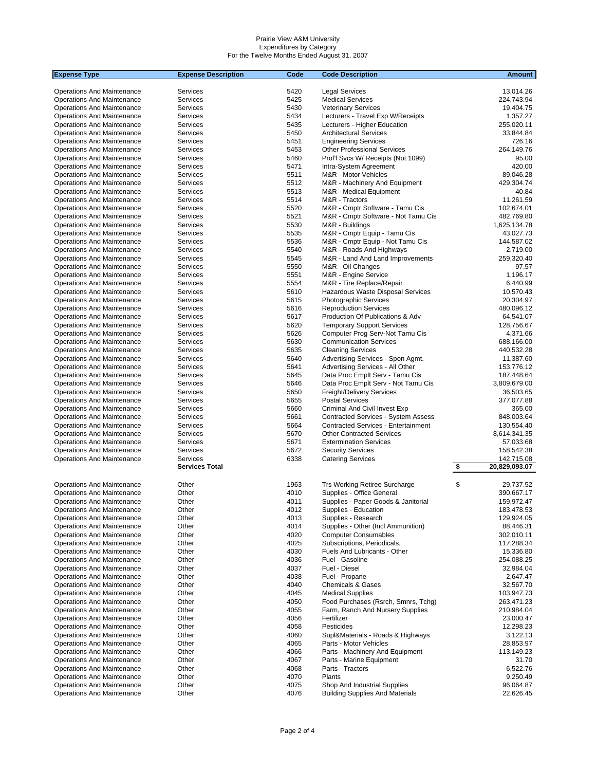| <b>Expense Type</b>                                                    | <b>Expense Description</b> | Code         | <b>Code Description</b>                                                | <b>Amount</b>            |
|------------------------------------------------------------------------|----------------------------|--------------|------------------------------------------------------------------------|--------------------------|
|                                                                        |                            |              |                                                                        |                          |
| <b>Operations And Maintenance</b>                                      | Services                   | 5420         | <b>Legal Services</b>                                                  | 13,014.26                |
| <b>Operations And Maintenance</b>                                      | Services                   | 5425         | <b>Medical Services</b>                                                | 224,743.94               |
| <b>Operations And Maintenance</b>                                      | Services                   | 5430<br>5434 | <b>Veterinary Services</b>                                             | 19,404.75                |
| <b>Operations And Maintenance</b><br><b>Operations And Maintenance</b> | Services<br>Services       | 5435         | Lecturers - Travel Exp W/Receipts<br>Lecturers - Higher Education      | 1,357.27<br>255,020.11   |
| <b>Operations And Maintenance</b>                                      | Services                   | 5450         | <b>Architectural Services</b>                                          | 33,844.84                |
| <b>Operations And Maintenance</b>                                      | Services                   | 5451         | <b>Engineering Services</b>                                            | 726.16                   |
| <b>Operations And Maintenance</b>                                      | Services                   | 5453         | <b>Other Professional Services</b>                                     | 264,149.76               |
| <b>Operations And Maintenance</b>                                      | Services                   | 5460         | Prof'l Svcs W/ Receipts (Not 1099)                                     | 95.00                    |
| <b>Operations And Maintenance</b>                                      | Services                   | 5471         | Intra-System Agreement                                                 | 420.00                   |
| <b>Operations And Maintenance</b>                                      | Services                   | 5511         | M&R - Motor Vehicles                                                   | 89,046.28                |
| <b>Operations And Maintenance</b>                                      | Services                   | 5512         | M&R - Machinery And Equipment                                          | 429,304.74               |
| <b>Operations And Maintenance</b>                                      | Services                   | 5513         | M&R - Medical Equipment                                                | 40.84                    |
| <b>Operations And Maintenance</b>                                      | Services                   | 5514         | M&R - Tractors                                                         | 11,261.59                |
| <b>Operations And Maintenance</b>                                      | Services                   | 5520         | M&R - Cmptr Software - Tamu Cis                                        | 102,674.01               |
| <b>Operations And Maintenance</b>                                      | Services                   | 5521         | M&R - Cmptr Software - Not Tamu Cis                                    | 482,769.80               |
| <b>Operations And Maintenance</b>                                      | Services                   | 5530         | M&R - Buildings                                                        | 1,625,134.78             |
| <b>Operations And Maintenance</b>                                      | Services                   | 5535         | M&R - Cmptr Equip - Tamu Cis                                           | 43,027.73                |
| <b>Operations And Maintenance</b>                                      | Services                   | 5536         | M&R - Cmptr Equip - Not Tamu Cis                                       | 144,587.02               |
| <b>Operations And Maintenance</b>                                      | Services                   | 5540         | M&R - Roads And Highways                                               | 2,719.00                 |
| <b>Operations And Maintenance</b>                                      | Services                   | 5545         | M&R - Land And Land Improvements                                       | 259,320.40               |
| <b>Operations And Maintenance</b>                                      | Services                   | 5550         | M&R - Oil Changes                                                      | 97.57                    |
| <b>Operations And Maintenance</b>                                      | Services                   | 5551         | M&R - Engine Service                                                   | 1,196.17                 |
| <b>Operations And Maintenance</b>                                      | Services<br>Services       | 5554<br>5610 | M&R - Tire Replace/Repair<br>Hazardous Waste Disposal Services         | 6,440.99<br>10,570.43    |
| <b>Operations And Maintenance</b><br><b>Operations And Maintenance</b> | Services                   | 5615         | Photographic Services                                                  | 20,304.97                |
| <b>Operations And Maintenance</b>                                      | Services                   | 5616         | <b>Reproduction Services</b>                                           | 480,096.12               |
| <b>Operations And Maintenance</b>                                      | Services                   | 5617         | Production Of Publications & Adv                                       | 64,541.07                |
| <b>Operations And Maintenance</b>                                      | Services                   | 5620         | <b>Temporary Support Services</b>                                      | 128,756.67               |
| <b>Operations And Maintenance</b>                                      | Services                   | 5626         | Computer Prog Serv-Not Tamu Cis                                        | 4,371.66                 |
| <b>Operations And Maintenance</b>                                      | Services                   | 5630         | <b>Communication Services</b>                                          | 688,166.00               |
| <b>Operations And Maintenance</b>                                      | Services                   | 5635         | <b>Cleaning Services</b>                                               | 440.532.28               |
| <b>Operations And Maintenance</b>                                      | Services                   | 5640         | Advertising Services - Spon Agmt.                                      | 11,387.60                |
| <b>Operations And Maintenance</b>                                      | Services                   | 5641         | Advertising Services - All Other                                       | 153,776.12               |
| <b>Operations And Maintenance</b>                                      | Services                   | 5645         | Data Proc Emplt Serv - Tamu Cis                                        | 187,448.64               |
| <b>Operations And Maintenance</b>                                      | Services                   | 5646         | Data Proc Emplt Serv - Not Tamu Cis                                    | 3,809,679.00             |
| <b>Operations And Maintenance</b>                                      | Services                   | 5650         | <b>Freight/Delivery Services</b>                                       | 36,503.65                |
| <b>Operations And Maintenance</b>                                      | Services                   | 5655         | <b>Postal Services</b>                                                 | 377,077.88               |
| <b>Operations And Maintenance</b>                                      | Services                   | 5660         | Criminal And Civil Invest Exp                                          | 365.00                   |
| <b>Operations And Maintenance</b>                                      | Services                   | 5661         | <b>Contracted Services - System Assess</b>                             | 848,003.64               |
| <b>Operations And Maintenance</b>                                      | Services                   | 5664         | <b>Contracted Services - Entertainment</b>                             | 130,554.40               |
| <b>Operations And Maintenance</b>                                      | Services                   | 5670         | <b>Other Contracted Services</b>                                       | 8,614,341.35             |
| <b>Operations And Maintenance</b>                                      | Services<br>Services       | 5671<br>5672 | <b>Extermination Services</b><br><b>Security Services</b>              | 57,033.68                |
| <b>Operations And Maintenance</b><br><b>Operations And Maintenance</b> | Services                   | 6338         | <b>Catering Services</b>                                               | 158,542.38<br>142,715.08 |
|                                                                        | <b>Services Total</b>      |              |                                                                        | \$<br>20,829,093.07      |
|                                                                        |                            |              |                                                                        |                          |
| <b>Operations And Maintenance</b>                                      | Other                      | 1963         | <b>Trs Working Retiree Surcharge</b>                                   | \$<br>29,737.52          |
| <b>Operations And Maintenance</b>                                      | Other                      | 4010         | Supplies - Office General                                              | 390.667.17               |
| <b>Operations And Maintenance</b>                                      | Other                      | 4011         | Supplies - Paper Goods & Janitorial                                    | 159,972.47               |
| Operations And Maintenance                                             | Other                      | 4012         | Supplies - Education                                                   | 183,478.53               |
| Operations And Maintenance                                             | Other                      | 4013         | Supplies - Research                                                    | 129,924.05               |
| <b>Operations And Maintenance</b>                                      | Other                      | 4014         | Supplies - Other (Incl Ammunition)                                     | 88,446.31                |
| <b>Operations And Maintenance</b>                                      | Other<br>Other             | 4020<br>4025 | <b>Computer Consumables</b>                                            | 302,010.11               |
| Operations And Maintenance<br><b>Operations And Maintenance</b>        | Other                      | 4030         | Subscriptions, Periodicals,<br>Fuels And Lubricants - Other            | 117,288.34<br>15,336.80  |
| <b>Operations And Maintenance</b>                                      | Other                      | 4036         | Fuel - Gasoline                                                        | 254,088.25               |
| <b>Operations And Maintenance</b>                                      | Other                      | 4037         | Fuel - Diesel                                                          | 32,984.04                |
| Operations And Maintenance                                             | Other                      | 4038         | Fuel - Propane                                                         | 2,647.47                 |
| <b>Operations And Maintenance</b>                                      | Other                      | 4040         | <b>Chemicals &amp; Gases</b>                                           | 32,567.70                |
| <b>Operations And Maintenance</b>                                      | Other                      | 4045         | <b>Medical Supplies</b>                                                | 103,947.73               |
| <b>Operations And Maintenance</b>                                      | Other                      | 4050         | Food Purchases (Rsrch, Smnrs, Tchg)                                    | 263,471.23               |
| <b>Operations And Maintenance</b>                                      | Other                      | 4055         | Farm, Ranch And Nursery Supplies                                       | 210,984.04               |
| <b>Operations And Maintenance</b>                                      | Other                      | 4056         | Fertilizer                                                             | 23,000.47                |
| <b>Operations And Maintenance</b>                                      | Other                      | 4058         | Pesticides                                                             | 12,298.23                |
| Operations And Maintenance                                             | Other                      | 4060         | Supl&Materials - Roads & Highways                                      | 3,122.13                 |
| <b>Operations And Maintenance</b>                                      | Other                      | 4065         | Parts - Motor Vehicles                                                 | 28,853.97                |
| <b>Operations And Maintenance</b>                                      | Other                      | 4066         | Parts - Machinery And Equipment                                        | 113,149.23               |
| <b>Operations And Maintenance</b>                                      | Other                      | 4067         | Parts - Marine Equipment                                               | 31.70                    |
| <b>Operations And Maintenance</b>                                      | Other                      | 4068         | Parts - Tractors                                                       | 6,522.76                 |
| <b>Operations And Maintenance</b>                                      | Other                      | 4070         | Plants                                                                 | 9,250.49                 |
| <b>Operations And Maintenance</b><br><b>Operations And Maintenance</b> | Other<br>Other             | 4075<br>4076 | Shop And Industrial Supplies<br><b>Building Supplies And Materials</b> | 96,064.87<br>22,626.45   |
|                                                                        |                            |              |                                                                        |                          |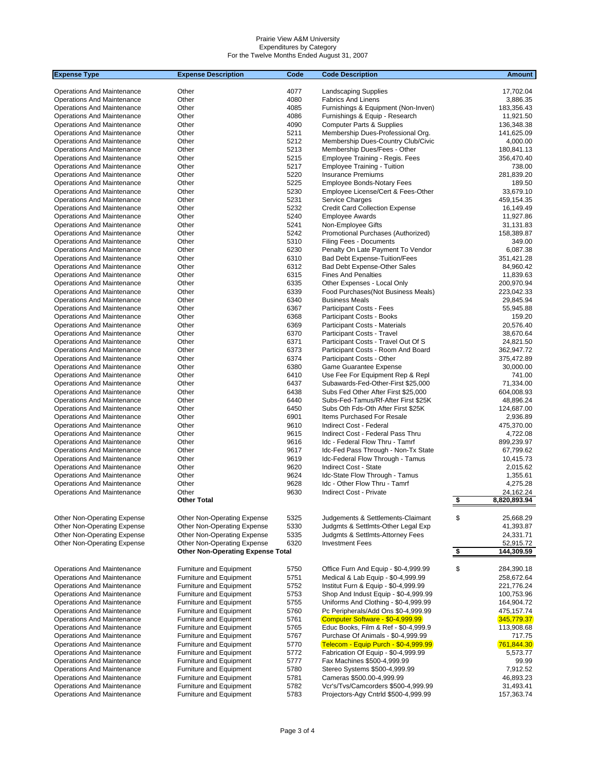| <b>Expense Type</b>                                             | <b>Expense Description</b>               | Code | <b>Code Description</b>               | <b>Amount</b>             |
|-----------------------------------------------------------------|------------------------------------------|------|---------------------------------------|---------------------------|
|                                                                 |                                          |      |                                       |                           |
| <b>Operations And Maintenance</b>                               | Other                                    | 4077 | <b>Landscaping Supplies</b>           | 17,702.04                 |
| Operations And Maintenance                                      | Other                                    | 4080 | <b>Fabrics And Linens</b>             | 3,886.35                  |
| Operations And Maintenance                                      | Other                                    | 4085 | Furnishings & Equipment (Non-Inven)   | 183,356.43                |
| Operations And Maintenance                                      | Other                                    | 4086 | Furnishings & Equip - Research        | 11,921.50                 |
| Operations And Maintenance                                      | Other                                    | 4090 | <b>Computer Parts &amp; Supplies</b>  | 136,348.38                |
| Operations And Maintenance                                      | Other                                    | 5211 | Membership Dues-Professional Org.     | 141,625.09                |
| Operations And Maintenance                                      | Other                                    | 5212 | Membership Dues-Country Club/Civic    | 4,000.00                  |
| Operations And Maintenance                                      | Other                                    | 5213 | Membership Dues/Fees - Other          | 180,841.13                |
| Operations And Maintenance                                      | Other                                    | 5215 | Employee Training - Regis. Fees       | 356,470.40                |
| Operations And Maintenance                                      | Other                                    | 5217 | <b>Employee Training - Tuition</b>    | 738.00                    |
| <b>Operations And Maintenance</b>                               | Other                                    | 5220 | <b>Insurance Premiums</b>             | 281,839.20                |
| <b>Operations And Maintenance</b>                               | Other                                    | 5225 | <b>Employee Bonds-Notary Fees</b>     | 189.50                    |
| <b>Operations And Maintenance</b>                               | Other                                    | 5230 | Employee License/Cert & Fees-Other    | 33.679.10                 |
| Operations And Maintenance                                      | Other                                    | 5231 | Service Charges                       | 459,154.35                |
| Operations And Maintenance                                      | Other                                    | 5232 | <b>Credit Card Collection Expense</b> | 16,149.49                 |
| <b>Operations And Maintenance</b>                               | Other                                    | 5240 | <b>Employee Awards</b>                | 11,927.86                 |
| Operations And Maintenance                                      | Other                                    | 5241 | Non-Employee Gifts                    | 31,131.83                 |
| Operations And Maintenance                                      | Other                                    | 5242 | Promotional Purchases (Authorized)    | 158,389.87                |
| <b>Operations And Maintenance</b>                               | Other                                    | 5310 | <b>Filing Fees - Documents</b>        | 349.00                    |
| Operations And Maintenance                                      | Other                                    | 6230 | Penalty On Late Payment To Vendor     | 6,087.38                  |
| Operations And Maintenance                                      | Other                                    | 6310 | Bad Debt Expense-Tuition/Fees         | 351,421.28                |
| Operations And Maintenance                                      | Other                                    | 6312 | Bad Debt Expense-Other Sales          | 84,960.42                 |
| <b>Operations And Maintenance</b>                               | Other                                    | 6315 | <b>Fines And Penalties</b>            | 11,839.63                 |
| <b>Operations And Maintenance</b>                               | Other                                    | 6335 | Other Expenses - Local Only           | 200.970.94                |
| <b>Operations And Maintenance</b>                               | Other                                    | 6339 | Food Purchases (Not Business Meals)   | 223,042.33                |
| <b>Operations And Maintenance</b>                               | Other                                    | 6340 | <b>Business Meals</b>                 | 29.845.94                 |
| Operations And Maintenance                                      | Other                                    | 6367 | Participant Costs - Fees              | 55,945.88                 |
| Operations And Maintenance                                      | Other                                    | 6368 | Participant Costs - Books             | 159.20                    |
| Operations And Maintenance                                      | Other                                    | 6369 | Participant Costs - Materials         | 20,576.40                 |
| Operations And Maintenance                                      | Other                                    | 6370 | Participant Costs - Travel            | 38,670.64                 |
| Operations And Maintenance                                      | Other                                    | 6371 | Participant Costs - Travel Out Of S   | 24,821.50                 |
| <b>Operations And Maintenance</b>                               | Other                                    | 6373 | Participant Costs - Room And Board    | 362,947.72                |
| <b>Operations And Maintenance</b>                               | Other                                    | 6374 | Participant Costs - Other             | 375,472.89                |
| Operations And Maintenance                                      | Other                                    | 6380 | Game Guarantee Expense                | 30,000.00                 |
| Operations And Maintenance                                      | Other                                    | 6410 | Use Fee For Equipment Rep & Repl      | 741.00                    |
| Operations And Maintenance                                      | Other                                    | 6437 | Subawards-Fed-Other-First \$25,000    | 71,334.00                 |
| Operations And Maintenance                                      | Other                                    | 6438 | Subs Fed Other After First \$25,000   | 604,008.93                |
| Operations And Maintenance                                      | Other                                    | 6440 | Subs-Fed-Tamus/Rf-After First \$25K   | 48,896.24                 |
| Operations And Maintenance                                      | Other                                    | 6450 | Subs Oth Fds-Oth After First \$25K    | 124,687.00                |
| Operations And Maintenance                                      | Other                                    | 6901 | Items Purchased For Resale            | 2,936.89                  |
| <b>Operations And Maintenance</b>                               | Other                                    | 9610 | Indirect Cost - Federal               | 475,370.00                |
| Operations And Maintenance                                      | Other                                    | 9615 | Indirect Cost - Federal Pass Thru     | 4,722.08                  |
| Operations And Maintenance                                      | Other                                    | 9616 | Idc - Federal Flow Thru - Tamrf       | 899,239.97                |
|                                                                 | Other                                    | 9617 | Idc-Fed Pass Through - Non-Tx State   | 67,799.62                 |
| <b>Operations And Maintenance</b><br>Operations And Maintenance | Other                                    | 9619 | Idc-Federal Flow Through - Tamus      | 10.415.73                 |
|                                                                 |                                          |      |                                       |                           |
| Operations And Maintenance                                      | Other                                    | 9620 | Indirect Cost - State                 | 2,015.62                  |
| Operations And Maintenance                                      | Other                                    | 9624 | Idc-State Flow Through - Tamus        | 1,355.61                  |
| Operations And Maintenance                                      | Other                                    | 9628 | Idc - Other Flow Thru - Tamrf         | 4,275.28                  |
| <b>Operations And Maintenance</b>                               | Other                                    | 9630 | <b>Indirect Cost - Private</b>        | 24,162.24<br>8,820,893.94 |
|                                                                 | <b>Other Total</b>                       |      |                                       | \$                        |
|                                                                 |                                          |      |                                       |                           |
| Other Non-Operating Expense                                     | Other Non-Operating Expense              | 5325 | Judgements & Settlements-Claimant     | \$<br>25,668.29           |
| Other Non-Operating Expense                                     | Other Non-Operating Expense              | 5330 | Judgmts & Settlmts-Other Legal Exp    | 41,393.87                 |
| Other Non-Operating Expense                                     | Other Non-Operating Expense              | 5335 | Judgmts & Settlmts-Attorney Fees      | 24,331.71                 |
| Other Non-Operating Expense                                     | Other Non-Operating Expense              | 6320 | <b>Investment Fees</b>                | 52,915.72                 |
|                                                                 | <b>Other Non-Operating Expense Total</b> |      |                                       | 144,309.59<br>\$          |
|                                                                 |                                          |      |                                       |                           |
| <b>Operations And Maintenance</b>                               | Furniture and Equipment                  | 5750 | Office Furn And Equip - \$0-4,999.99  | \$<br>284,390.18          |
| <b>Operations And Maintenance</b>                               | Furniture and Equipment                  | 5751 | Medical & Lab Equip - \$0-4,999.99    | 258,672.64                |
| <b>Operations And Maintenance</b>                               | Furniture and Equipment                  | 5752 | Institut Furn & Equip - \$0-4,999.99  | 221,776.24                |
| <b>Operations And Maintenance</b>                               | Furniture and Equipment                  | 5753 | Shop And Indust Equip - \$0-4,999.99  | 100,753.96                |
| Operations And Maintenance                                      | <b>Furniture and Equipment</b>           | 5755 | Uniforms And Clothing - \$0-4,999.99  | 164,904.72                |
| Operations And Maintenance                                      | <b>Furniture and Equipment</b>           | 5760 | Pc Peripherals/Add Ons \$0-4,999.99   | 475,157.74                |
| Operations And Maintenance                                      | <b>Furniture and Equipment</b>           | 5761 | Computer Software - \$0-4,999.99      | 345,779.37                |
| Operations And Maintenance                                      | Furniture and Equipment                  | 5765 | Educ Books, Film & Ref - \$0-4,999.9  | 113,908.68                |
| Operations And Maintenance                                      | Furniture and Equipment                  | 5767 | Purchase Of Animals - \$0-4,999.99    | 717.75                    |
| Operations And Maintenance                                      | Furniture and Equipment                  | 5770 | Telecom - Equip Purch - \$0-4,999.99  | 761,844.30                |
| Operations And Maintenance                                      | <b>Furniture and Equipment</b>           | 5772 | Fabrication Of Equip - \$0-4,999.99   | 5,573.77                  |
| Operations And Maintenance                                      | <b>Furniture and Equipment</b>           | 5777 | Fax Machines \$500-4,999.99           | 99.99                     |
| Operations And Maintenance                                      | <b>Furniture and Equipment</b>           | 5780 | Stereo Systems \$500-4,999.99         | 7,912.52                  |
| Operations And Maintenance                                      | Furniture and Equipment                  | 5781 | Cameras \$500.00-4,999.99             | 46,893.23                 |
| <b>Operations And Maintenance</b>                               | Furniture and Equipment                  | 5782 | Vcr's/Tvs/Camcorders \$500-4,999.99   | 31,493.41                 |
| <b>Operations And Maintenance</b>                               | Furniture and Equipment                  | 5783 | Projectors-Agy Cntrld \$500-4,999.99  | 157,363.74                |